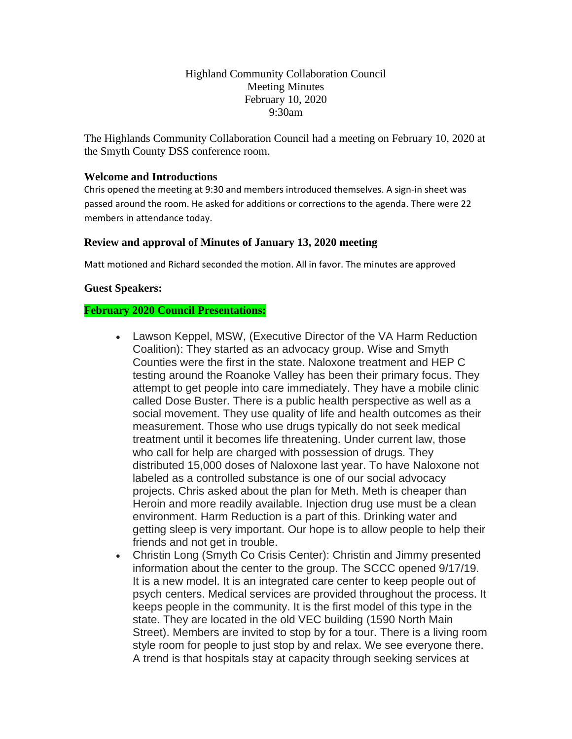# Highland Community Collaboration Council Meeting Minutes February 10, 2020 9:30am

The Highlands Community Collaboration Council had a meeting on February 10, 2020 at the Smyth County DSS conference room.

# **Welcome and Introductions**

Chris opened the meeting at 9:30 and members introduced themselves. A sign-in sheet was passed around the room. He asked for additions or corrections to the agenda. There were 22 members in attendance today.

#### **Review and approval of Minutes of January 13, 2020 meeting**

Matt motioned and Richard seconded the motion. All in favor. The minutes are approved

#### **Guest Speakers:**

#### **February 2020 Council Presentations:**

- Lawson Keppel, MSW, (Executive Director of the VA Harm Reduction Coalition): They started as an advocacy group. Wise and Smyth Counties were the first in the state. Naloxone treatment and HEP C testing around the Roanoke Valley has been their primary focus. They attempt to get people into care immediately. They have a mobile clinic called Dose Buster. There is a public health perspective as well as a social movement. They use quality of life and health outcomes as their measurement. Those who use drugs typically do not seek medical treatment until it becomes life threatening. Under current law, those who call for help are charged with possession of drugs. They distributed 15,000 doses of Naloxone last year. To have Naloxone not labeled as a controlled substance is one of our social advocacy projects. Chris asked about the plan for Meth. Meth is cheaper than Heroin and more readily available. Injection drug use must be a clean environment. Harm Reduction is a part of this. Drinking water and getting sleep is very important. Our hope is to allow people to help their friends and not get in trouble.
- Christin Long (Smyth Co Crisis Center): Christin and Jimmy presented information about the center to the group. The SCCC opened 9/17/19. It is a new model. It is an integrated care center to keep people out of psych centers. Medical services are provided throughout the process. It keeps people in the community. It is the first model of this type in the state. They are located in the old VEC building (1590 North Main Street). Members are invited to stop by for a tour. There is a living room style room for people to just stop by and relax. We see everyone there. A trend is that hospitals stay at capacity through seeking services at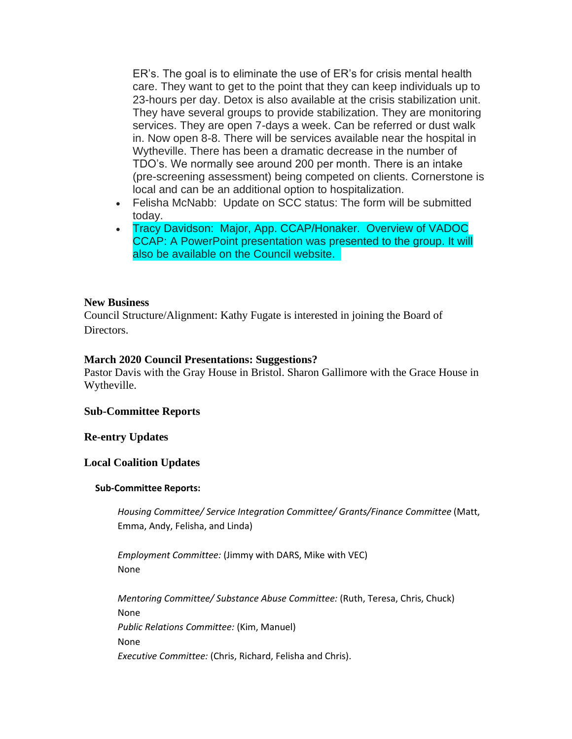ER's. The goal is to eliminate the use of ER's for crisis mental health care. They want to get to the point that they can keep individuals up to 23-hours per day. Detox is also available at the crisis stabilization unit. They have several groups to provide stabilization. They are monitoring services. They are open 7-days a week. Can be referred or dust walk in. Now open 8-8. There will be services available near the hospital in Wytheville. There has been a dramatic decrease in the number of TDO's. We normally see around 200 per month. There is an intake (pre-screening assessment) being competed on clients. Cornerstone is local and can be an additional option to hospitalization.

- Felisha McNabb: Update on SCC status: The form will be submitted today.
- Tracy Davidson: Major, App. CCAP/Honaker. Overview of VADOC CCAP: A PowerPoint presentation was presented to the group. It will also be available on the Council website.

# **New Business**

Council Structure/Alignment: Kathy Fugate is interested in joining the Board of Directors.

# **March 2020 Council Presentations: Suggestions?**

Pastor Davis with the Gray House in Bristol. Sharon Gallimore with the Grace House in Wytheville.

# **Sub-Committee Reports**

# **Re-entry Updates**

# **Local Coalition Updates**

# **Sub-Committee Reports:**

*Housing Committee/ Service Integration Committee/ Grants/Finance Committee* (Matt, Emma, Andy, Felisha, and Linda)

*Employment Committee:* (Jimmy with DARS, Mike with VEC) None

*Mentoring Committee/ Substance Abuse Committee:* (Ruth, Teresa, Chris, Chuck) None *Public Relations Committee:* (Kim, Manuel) None *Executive Committee:* (Chris, Richard, Felisha and Chris).